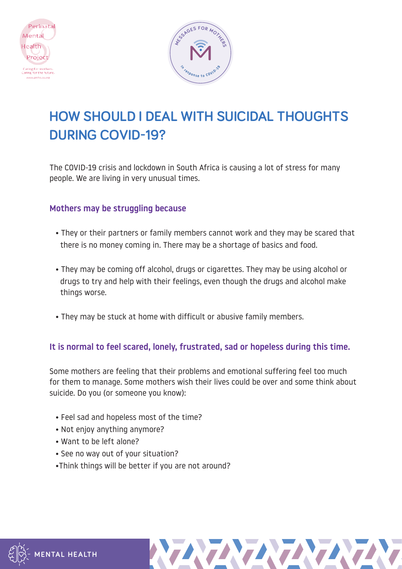



# **HOW SHOULD I DEAL WITH SUICIDAL THOUGHTS DURING COVID-19?**

The COVID-19 crisis and lockdown in South Africa is causing a lot of stress for many people. We are living in very unusual times.

# Mothers may be struggling because

- They or their partners or family members cannot work and they may be scared that there is no money coming in. There may be a shortage of basics and food.
- They may be coming off alcohol, drugs or cigarettes. They may be using alcohol or drugs to try and help with their feelings, even though the drugs and alcohol make things worse.
- They may be stuck at home with difficult or abusive family members.

# It is normal to feel scared, lonely, frustrated, sad or hopeless during this time.

Some mothers are feeling that their problems and emotional suffering feel too much for them to manage. Some mothers wish their lives could be over and some think about suicide. Do you (or someone you know):

- Feel sad and hopeless most of the time?
- Not enjoy anything anymore?
- Want to be left alone?
- See no way out of your situation?
- •Think things will be better if you are not around?



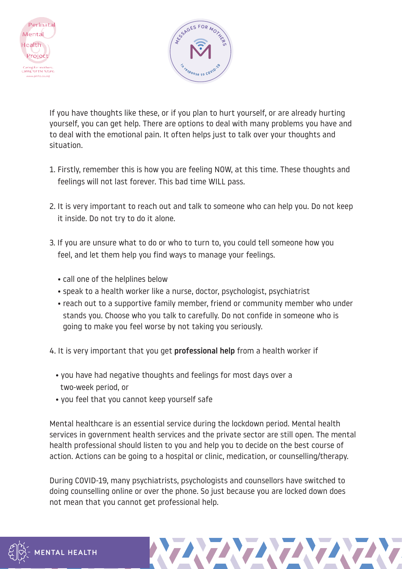



If you have thoughts like these, or if you plan to hurt yourself, or are already hurting yourself, you can get help. There are options to deal with many problems you have and to deal with the emotional pain. It often helps just to talk over your thoughts and situation.

- 1. Firstly, remember this is how you are feeling NOW, at this time. These thoughts and feelings will not last forever. This bad time WILL pass.
- 2. It is very important to reach out and talk to someone who can help you. Do not keep it inside. Do not try to do it alone.
- 3. If you are unsure what to do or who to turn to, you could tell someone how you feel, and let them help you find ways to manage your feelings.
	- call one of the helplines below
	- speak to a health worker like a nurse, doctor, psychologist, psychiatrist
	- reach out to a supportive family member, friend or community member who under stands you. Choose who you talk to carefully. Do not confide in someone who is going to make you feel worse by not taking you seriously.
- 4. It is very important that you get **professional help** from a health worker if
	- you have had negative thoughts and feelings for most days over a two-week period, or
	- you feel that you cannot keep yourself safe

Mental healthcare is an essential service during the lockdown period. Mental health services in government health services and the private sector are still open. The mental health professional should listen to you and help you to decide on the best course of action. Actions can be going to a hospital or clinic, medication, or counselling/therapy.

During COVID-19, many psychiatrists, psychologists and counsellors have switched to doing counselling online or over the phone. So just because you are locked down does not mean that you cannot get professional help.